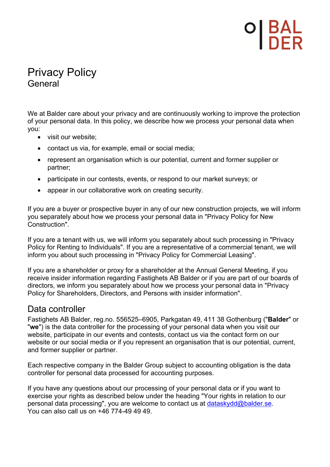# **DI BAL<br>I DER**

## Privacy Policy General

We at Balder care about your privacy and are continuously working to improve the protection of your personal data. In this policy, we describe how we process your personal data when you:

- visit our website;
- contact us via, for example, email or social media;
- represent an organisation which is our potential, current and former supplier or partner;
- participate in our contests, events, or respond to our market surveys; or
- appear in our collaborative work on creating security.

If you are a buyer or prospective buyer in any of our new construction projects, we will inform you separately about how we process your personal data in "Privacy Policy for New Construction".

If you are a tenant with us, we will inform you separately about such processing in "Privacy Policy for Renting to Individuals". If you are a representative of a commercial tenant, we will inform you about such processing in "Privacy Policy for Commercial Leasing".

If you are a shareholder or proxy for a shareholder at the Annual General Meeting, if you receive insider information regarding Fastighets AB Balder or if you are part of our boards of directors, we inform you separately about how we process your personal data in "Privacy Policy for Shareholders, Directors, and Persons with insider information".

## Data controller

Fastighets AB Balder, reg.no. 556525–6905, Parkgatan 49, 411 38 Gothenburg ("**Balder**" or "**we**") is the data controller for the processing of your personal data when you visit our website, participate in our events and contests, contact us via the contact form on our website or our social media or if you represent an organisation that is our potential, current, and former supplier or partner.

Each respective company in the Balder Group subject to accounting obligation is the data controller for personal data processed for accounting purposes.

If you have any questions about our processing of your personal data or if you want to exercise your rights as described below under the heading "Your rights in relation to our personal data processing", you are welcome to contact us at dataskydd@balder.se. You can also call us on +46 774-49 49 49.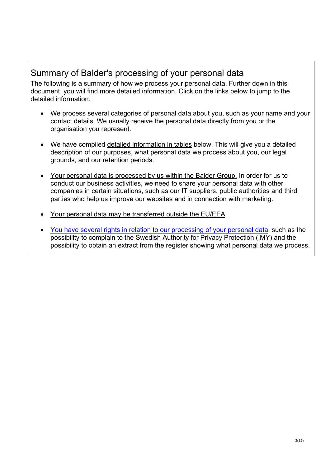## Summary of Balder's processing of your personal data

The following is a summary of how we process your personal data. Further down in this document, you will find more detailed information. Click on the links below to jump to the detailed information.

- We process several categories of personal data about you, such as your name and your contact details. We usually receive the personal data directly from you or the organisation you represent.
- We have compiled detailed information in tables below. This will give you a detailed description of our purposes, what personal data we process about you, our legal grounds, and our retention periods.
- Your personal data is processed by us within the Balder Group. In order for us to conduct our business activities, we need to share your personal data with other companies in certain situations, such as our IT suppliers, public authorities and third parties who help us improve our websites and in connection with marketing.
- Your personal data may be transferred outside the EU/EEA.
- You have several rights in relation to our processing of your personal data, such as the possibility to complain to the Swedish Authority for Privacy Protection (IMY) and the possibility to obtain an extract from the register showing what personal data we process.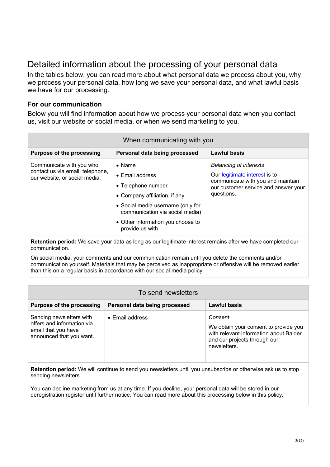## Detailed information about the processing of your personal data

In the tables below, you can read more about what personal data we process about you, why we process your personal data, how long we save your personal data, and what lawful basis we have for our processing.

### **For our communication**

Below you will find information about how we process your personal data when you contact us, visit our website or social media, or when we send marketing to you.

| When communicating with you                                                                   |                                                                                                                                                                                                                                  |                                                                                                                                                           |  |
|-----------------------------------------------------------------------------------------------|----------------------------------------------------------------------------------------------------------------------------------------------------------------------------------------------------------------------------------|-----------------------------------------------------------------------------------------------------------------------------------------------------------|--|
| <b>Purpose of the processing</b>                                                              | Personal data being processed                                                                                                                                                                                                    | <b>Lawful basis</b>                                                                                                                                       |  |
| Communicate with you who<br>contact us via email, telephone,<br>our website, or social media. | $\bullet$ Name<br>$\bullet$ Email address<br>• Telephone number<br>• Company affiliation, if any<br>• Social media username (only for<br>communication via social media)<br>• Other information you choose to<br>provide us with | <b>Balancing of interests</b><br>Our legitimate interest is to<br>communicate with you and maintain<br>our customer service and answer your<br>questions. |  |

**Retention period:** We save your data as long as our legitimate interest remains after we have completed our communication.

On social media, your comments and our communication remain until you delete the comments and/or communication yourself. Materials that may be perceived as inappropriate or offensive will be removed earlier than this on a regular basis in accordance with our social media policy.

| To send newsletters                                                                                       |                               |                                                                                                                                            |
|-----------------------------------------------------------------------------------------------------------|-------------------------------|--------------------------------------------------------------------------------------------------------------------------------------------|
| <b>Purpose of the processing</b>                                                                          | Personal data being processed | <b>Lawful basis</b>                                                                                                                        |
| Sending newsletters with<br>offers and information via<br>email that you have<br>announced that you want. | $\bullet$ Email address       | Consent<br>We obtain your consent to provide you<br>with relevant information about Balder<br>and our projects through our<br>newsletters. |

**Retention period:** We will continue to send you newsletters until you unsubscribe or otherwise ask us to stop sending newsletters.

You can decline marketing from us at any time. If you decline, your personal data will be stored in our deregistration register until further notice. You can read more about this processing below in this policy.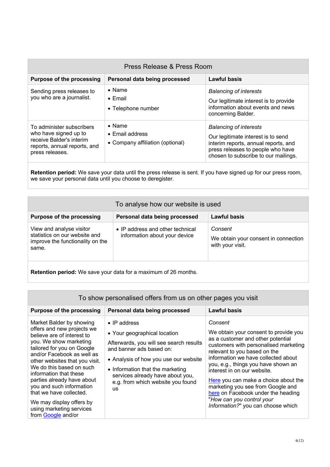| Press Release & Press Room                                                                                                        |                                                                               |                                                                                                                                                                                          |
|-----------------------------------------------------------------------------------------------------------------------------------|-------------------------------------------------------------------------------|------------------------------------------------------------------------------------------------------------------------------------------------------------------------------------------|
| <b>Purpose of the processing</b>                                                                                                  | Personal data being processed                                                 | Lawful basis                                                                                                                                                                             |
| Sending press releases to<br>you who are a journalist.                                                                            | $\bullet$ Name<br>$\bullet$ Email<br>• Telephone number                       | <b>Balancing of interests</b><br>Our legitimate interest is to provide<br>information about events and news<br>concerning Balder.                                                        |
| To administer subscribers<br>who have signed up to<br>receive Balder's interim<br>reports, annual reports, and<br>press releases. | $\bullet$ Name<br>$\bullet$ Email address<br>• Company affiliation (optional) | <b>Balancing of interests</b><br>Our legitimate interest is to send<br>interim reports, annual reports, and<br>press releases to people who have<br>chosen to subscribe to our mailings. |

**Retention period:** We save your data until the press release is sent. If you have signed up for our press room, we save your personal data until you choose to deregister.

| To analyse how our website is used                                                                     |                                                                   |                                                                     |
|--------------------------------------------------------------------------------------------------------|-------------------------------------------------------------------|---------------------------------------------------------------------|
| <b>Purpose of the processing</b>                                                                       | Personal data being processed                                     | Lawful basis                                                        |
| View and analyse visitor<br>statistics on our website and<br>improve the functionality on the<br>same. | • IP address and other technical<br>information about your device | Consent<br>We obtain your consent in connection<br>with your visit. |

**Retention period:** We save your data for a maximum of 26 months.

| To show personalised offers from us on other pages you visit                                                                                                                                                                                                                                                                                                                                                                          |                                                                                                                                                                                                                                                                                                |                                                                                                                                                                                                                                                                                                                                                                                                                                                                   |
|---------------------------------------------------------------------------------------------------------------------------------------------------------------------------------------------------------------------------------------------------------------------------------------------------------------------------------------------------------------------------------------------------------------------------------------|------------------------------------------------------------------------------------------------------------------------------------------------------------------------------------------------------------------------------------------------------------------------------------------------|-------------------------------------------------------------------------------------------------------------------------------------------------------------------------------------------------------------------------------------------------------------------------------------------------------------------------------------------------------------------------------------------------------------------------------------------------------------------|
| <b>Purpose of the processing</b>                                                                                                                                                                                                                                                                                                                                                                                                      | Personal data being processed                                                                                                                                                                                                                                                                  | <b>Lawful basis</b>                                                                                                                                                                                                                                                                                                                                                                                                                                               |
| Market Balder by showing<br>offers and new projects we<br>believe are of interest to<br>you. We show marketing<br>tailored for you on Google<br>and/or Facebook as well as<br>other websites that you visit.<br>We do this based on such<br>information that these<br>parties already have about<br>you and such information<br>that we have collected.<br>We may display offers by<br>using marketing services<br>from Google and/or | $\bullet$ IP address<br>• Your geographical location<br>Afterwards, you will see search results<br>and banner ads based on:<br>• Analysis of how you use our website<br>• Information that the marketing<br>services already have about you,<br>e.g. from which website you found<br><b>us</b> | Consent<br>We obtain your consent to provide you<br>as a customer and other potential<br>customers with personalised marketing<br>relevant to you based on the<br>information we have collected about<br>you, e.g., things you have shown an<br>interest in on our website.<br>Here you can make a choice about the<br>marketing you see from Google and<br>here on Facebook under the heading<br>"How can you control your<br>Information?" you can choose which |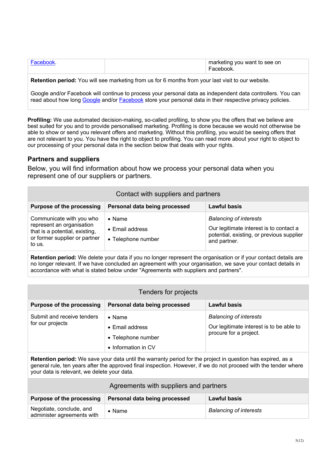| Eacebook | marketing you want to see on<br>Facebook. |
|----------|-------------------------------------------|
|          |                                           |

**Retention period:** You will see marketing from us for 6 months from your last visit to our website.

Google and/or Facebook will continue to process your personal data as independent data controllers. You can read about how long Google and/or **Facebook** store your personal data in their respective privacy policies.

**Profiling:** We use automated decision-making, so-called profiling, to show you the offers that we believe are best suited for you and to provide personalised marketing. Profiling is done because we would not otherwise be able to show or send you relevant offers and marketing. Without this profiling, you would be seeing offers that are not relevant to you. You have the right to object to profiling. You can read more about your right to object to our processing of your personal data in the section below that deals with your rights.

#### **Partners and suppliers**

Below, you will find information about how we process your personal data when you represent one of our suppliers or partners.

| Contact with suppliers and partners                                                                                                |                                                                 |                                                                                                                                       |
|------------------------------------------------------------------------------------------------------------------------------------|-----------------------------------------------------------------|---------------------------------------------------------------------------------------------------------------------------------------|
| <b>Purpose of the processing</b>                                                                                                   | Personal data being processed                                   | <b>Lawful basis</b>                                                                                                                   |
| Communicate with you who<br>represent an organisation<br>that is a potential, existing,<br>or former supplier or partner<br>to us. | $\bullet$ Name<br>$\bullet$ Email address<br>• Telephone number | <b>Balancing of interests</b><br>Our legitimate interest is to contact a<br>potential, existing, or previous supplier<br>and partner. |

**Retention period:** We delete your data if you no longer represent the organisation or if your contact details are no longer relevant. If we have concluded an agreement with your organisation, we save your contact details in accordance with what is stated below under "Agreements with suppliers and partners".

| Tenders for projects                           |                                                                                        |                                                                                                     |
|------------------------------------------------|----------------------------------------------------------------------------------------|-----------------------------------------------------------------------------------------------------|
| <b>Purpose of the processing</b>               | Personal data being processed                                                          | Lawful basis                                                                                        |
| Submit and receive tenders<br>for our projects | $\bullet$ Name<br>$\bullet$ Email address<br>• Telephone number<br>• Information in CV | <b>Balancing of interests</b><br>Our legitimate interest is to be able to<br>procure for a project. |

**Retention period:** We save your data until the warranty period for the project in question has expired, as a general rule, ten years after the approved final inspection. However, if we do not proceed with the tender where your data is relevant, we delete your data.

| Agreements with suppliers and partners                 |                               |                               |
|--------------------------------------------------------|-------------------------------|-------------------------------|
| Purpose of the processing                              | Personal data being processed | <b>Lawful basis</b>           |
| Negotiate, conclude, and<br>administer agreements with | $\bullet$ Name                | <b>Balancing of interests</b> |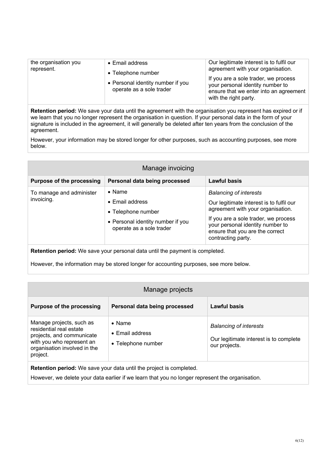| the organisation you | • Email address                                                                     | Our legitimate interest is to fulfil our                                                                                                                                         |
|----------------------|-------------------------------------------------------------------------------------|----------------------------------------------------------------------------------------------------------------------------------------------------------------------------------|
| represent.           | • Telephone number<br>• Personal identity number if you<br>operate as a sole trader | agreement with your organisation.<br>If you are a sole trader, we process<br>your personal identity number to<br>ensure that we enter into an agreement<br>with the right party. |
|                      |                                                                                     |                                                                                                                                                                                  |

**Retention period:** We save your data until the agreement with the organisation you represent has expired or if we learn that you no longer represent the organisation in question. If your personal data in the form of your signature is included in the agreement, it will generally be deleted after ten years from the conclusion of the agreement.

However, your information may be stored longer for other purposes, such as accounting purposes, see more below.

| Manage invoicing                       |                                                                                                                                  |                                                                                                                                                                                                                                                     |
|----------------------------------------|----------------------------------------------------------------------------------------------------------------------------------|-----------------------------------------------------------------------------------------------------------------------------------------------------------------------------------------------------------------------------------------------------|
| <b>Purpose of the processing</b>       | Personal data being processed                                                                                                    | Lawful basis                                                                                                                                                                                                                                        |
| To manage and administer<br>invoicing. | $\bullet$ Name<br>$\bullet$ Email address<br>• Telephone number<br>• Personal identity number if you<br>operate as a sole trader | <b>Balancing of interests</b><br>Our legitimate interest is to fulfil our<br>agreement with your organisation.<br>If you are a sole trader, we process<br>your personal identity number to<br>ensure that you are the correct<br>contracting party. |

**Retention period:** We save your personal data until the payment is completed.

However, the information may be stored longer for accounting purposes, see more below.

| Manage projects                                                                                                                                           |                                                                 |                                                                                          |
|-----------------------------------------------------------------------------------------------------------------------------------------------------------|-----------------------------------------------------------------|------------------------------------------------------------------------------------------|
| <b>Purpose of the processing</b>                                                                                                                          | Personal data being processed                                   | Lawful basis                                                                             |
| Manage projects, such as<br>residential real estate<br>projects, and communicate<br>with you who represent an<br>organisation involved in the<br>project. | $\bullet$ Name<br>$\bullet$ Email address<br>• Telephone number | <b>Balancing of interests</b><br>Our legitimate interest is to complete<br>our projects. |

**Retention period:** We save your data until the project is completed.

However, we delete your data earlier if we learn that you no longer represent the organisation.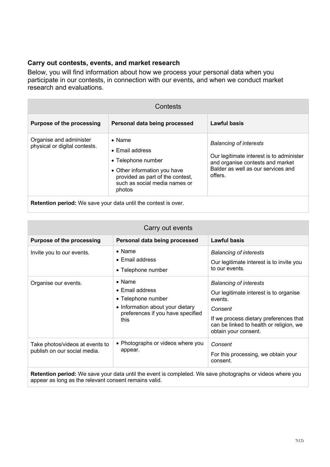## **Carry out contests, events, and market research**

Below, you will find information about how we process your personal data when you participate in our contests, in connection with our events, and when we conduct market research and evaluations.

| Contests                                                             |                                                                                                                                                                        |                                                                                                                                                                |
|----------------------------------------------------------------------|------------------------------------------------------------------------------------------------------------------------------------------------------------------------|----------------------------------------------------------------------------------------------------------------------------------------------------------------|
| <b>Purpose of the processing</b>                                     | Personal data being processed                                                                                                                                          | <b>Lawful basis</b>                                                                                                                                            |
| Organise and administer<br>physical or digital contests.             | $\bullet$ Name<br>• Email address<br>• Telephone number<br>• Other information you have<br>provided as part of the contest,<br>such as social media names or<br>photos | <b>Balancing of interests</b><br>Our legitimate interest is to administer<br>and organise contests and market<br>Balder as well as our services and<br>offers. |
| <b>Detention negled:</b> We cous your data until the contact is over |                                                                                                                                                                        |                                                                                                                                                                |

**Retention period:** We save your data until the contest is over.

| Carry out events                                                                                                                                                                                           |  |  |
|------------------------------------------------------------------------------------------------------------------------------------------------------------------------------------------------------------|--|--|
| <b>Lawful basis</b>                                                                                                                                                                                        |  |  |
| <b>Balancing of interests</b><br>Our legitimate interest is to invite you<br>to our events.                                                                                                                |  |  |
| <b>Balancing of interests</b><br>Our legitimate interest is to organise<br>events.<br>Consent<br>If we process dietary preferences that<br>can be linked to health or religion, we<br>obtain your consent. |  |  |
| Consent<br>For this processing, we obtain your<br>consent.                                                                                                                                                 |  |  |
|                                                                                                                                                                                                            |  |  |

**Retention period:** We save your data until the event is completed. We save photographs or videos where you appear as long as the relevant consent remains valid.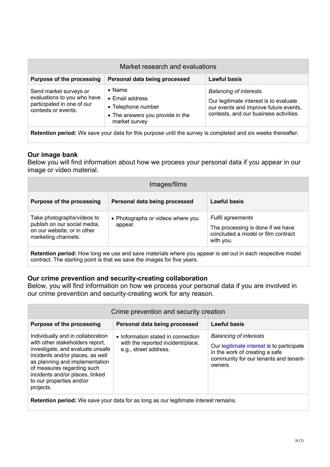| Market research and evaluations                                                                            |                                                                                                              |                                                                                                                                                            |
|------------------------------------------------------------------------------------------------------------|--------------------------------------------------------------------------------------------------------------|------------------------------------------------------------------------------------------------------------------------------------------------------------|
| <b>Purpose of the processing</b>                                                                           | Personal data being processed                                                                                | <b>Lawful basis</b>                                                                                                                                        |
| Send market surveys or<br>evaluations to you who have<br>participated in one of our<br>contests or events. | $\bullet$ Name<br>• Email address<br>• Telephone number<br>• The answers you provide in the<br>market survey | <b>Balancing of interests</b><br>Our legitimate interest is to evaluate<br>our events and improve future events,<br>contests, and our business activities. |

**Retention period:** We save your data for this purpose until the survey is completed and six weeks thereafter.

#### **Our image bank**

Below you will find information about how we process your personal data if you appear in our image or video material.

| <b>Lawful basis</b>                                                                                              |
|------------------------------------------------------------------------------------------------------------------|
| <b>Fulfil agreements</b><br>The processing is done if we have<br>concluded a model or film contract<br>with you. |
|                                                                                                                  |

**Retention period:** How long we use and save materials where you appear is set out in each respective model contract. The starting point is that we save the images for five years.

#### **Our crime prevention and security-creating collaboration**

Below, you will find information on how we process your personal data if you are involved in our crime prevention and security-creating work for any reason.

| Crime prevention and security creation                                                                                                                                                                                                                                                   |                                                                                                  |                                                                                                                                                                  |
|------------------------------------------------------------------------------------------------------------------------------------------------------------------------------------------------------------------------------------------------------------------------------------------|--------------------------------------------------------------------------------------------------|------------------------------------------------------------------------------------------------------------------------------------------------------------------|
| <b>Purpose of the processing</b>                                                                                                                                                                                                                                                         | Personal data being processed                                                                    | <b>Lawful basis</b>                                                                                                                                              |
| Individually and in collaboration<br>with other stakeholders report,<br>investigate, and evaluate unsafe<br>incidents and/or places, as well<br>as planning and implementation<br>of measures regarding such<br>incidents and/or places, linked<br>to our properties and/or<br>projects. | • Information stated in connection<br>with the reported incident/place,<br>e.g., street address. | <b>Balancing of interests</b><br>Our legitimate interest is to participate<br>in the work of creating a safe<br>community for our tenants and tenant-<br>owners. |

**Retention period:** We save your data for as long as our legitimate interest remains.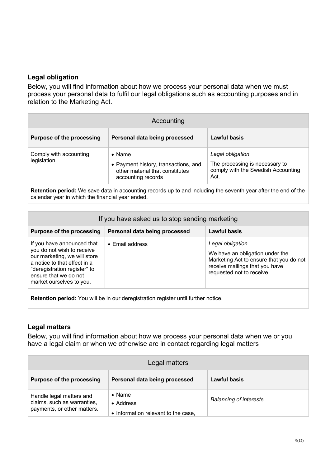### **Legal obligation**

Below, you will find information about how we process your personal data when we must process your personal data to fulfil our legal obligations such as accounting purposes and in relation to the Marketing Act.

| Accounting                             |                                                                                                                 |                                                                                                  |
|----------------------------------------|-----------------------------------------------------------------------------------------------------------------|--------------------------------------------------------------------------------------------------|
| <b>Purpose of the processing</b>       | Personal data being processed                                                                                   | Lawful basis                                                                                     |
| Comply with accounting<br>legislation. | $\bullet$ Name<br>• Payment history, transactions, and<br>other material that constitutes<br>accounting records | Legal obligation<br>The processing is necessary to<br>comply with the Swedish Accounting<br>Act. |

**Retention period:** We save data in accounting records up to and including the seventh year after the end of the calendar year in which the financial year ended.

| If you have asked us to stop sending marketing                                                                                                                                                                |                               |                                                                                                                                                               |
|---------------------------------------------------------------------------------------------------------------------------------------------------------------------------------------------------------------|-------------------------------|---------------------------------------------------------------------------------------------------------------------------------------------------------------|
| <b>Purpose of the processing</b>                                                                                                                                                                              | Personal data being processed | <b>Lawful basis</b>                                                                                                                                           |
| If you have announced that<br>you do not wish to receive<br>our marketing, we will store<br>a notice to that effect in a<br>"deregistration register" to<br>ensure that we do not<br>market ourselves to you. | $\bullet$ Email address       | Legal obligation<br>We have an obligation under the<br>Marketing Act to ensure that you do not<br>receive mailings that you have<br>requested not to receive. |

**Retention period:** You will be in our deregistration register until further notice.

#### **Legal matters**

Below, you will find information about how we process your personal data when we or you have a legal claim or when we otherwise are in contact regarding legal matters

| Legal matters                                                                          |                                                                    |                               |
|----------------------------------------------------------------------------------------|--------------------------------------------------------------------|-------------------------------|
| <b>Purpose of the processing</b>                                                       | Personal data being processed                                      | Lawful basis                  |
| Handle legal matters and<br>claims, such as warranties,<br>payments, or other matters. | $\bullet$ Name<br>• Address<br>• Information relevant to the case, | <b>Balancing of interests</b> |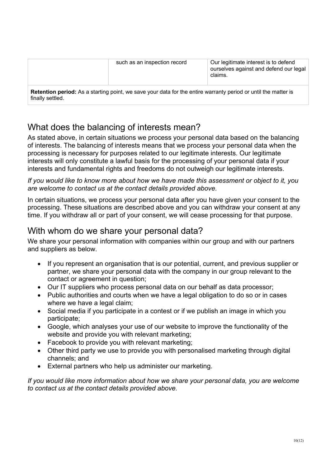| such as an inspection record                                                                                   | Our legitimate interest is to defend<br>ourselves against and defend our legal<br>claims. |
|----------------------------------------------------------------------------------------------------------------|-------------------------------------------------------------------------------------------|
| Retention period: As a starting point, we save your data for the entire warranty period or until the matter is |                                                                                           |

finally settled.

## What does the balancing of interests mean?

As stated above, in certain situations we process your personal data based on the balancing of interests. The balancing of interests means that we process your personal data when the processing is necessary for purposes related to our legitimate interests. Our legitimate interests will only constitute a lawful basis for the processing of your personal data if your interests and fundamental rights and freedoms do not outweigh our legitimate interests.

*If you would like to know more about how we have made this assessment or object to it, you are welcome to contact us at the contact details provided above.*

In certain situations, we process your personal data after you have given your consent to the processing. These situations are described above and you can withdraw your consent at any time. If you withdraw all or part of your consent, we will cease processing for that purpose.

## With whom do we share your personal data?

We share your personal information with companies within our group and with our partners and suppliers as below.

- If you represent an organisation that is our potential, current, and previous supplier or partner, we share your personal data with the company in our group relevant to the contact or agreement in question;
- Our IT suppliers who process personal data on our behalf as data processor;
- Public authorities and courts when we have a legal obligation to do so or in cases where we have a legal claim;
- Social media if you participate in a contest or if we publish an image in which you participate;
- Google, which analyses your use of our website to improve the functionality of the website and provide you with relevant marketing;
- Facebook to provide you with relevant marketing;
- Other third party we use to provide you with personalised marketing through digital channels; and
- External partners who help us administer our marketing.

*If you would like more information about how we share your personal data, you are welcome to contact us at the contact details provided above.*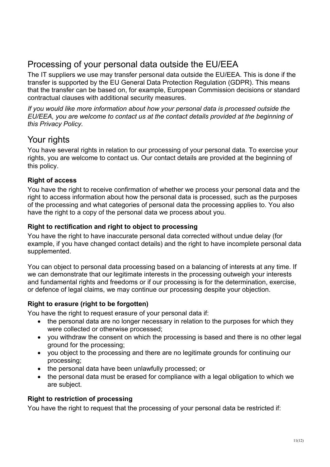## Processing of your personal data outside the EU/EEA

The IT suppliers we use may transfer personal data outside the EU/EEA. This is done if the transfer is supported by the EU General Data Protection Regulation (GDPR). This means that the transfer can be based on, for example, European Commission decisions or standard contractual clauses with additional security measures.

*If you would like more information about how your personal data is processed outside the EU/EEA, you are welcome to contact us at the contact details provided at the beginning of this Privacy Policy.*

## Your rights

You have several rights in relation to our processing of your personal data. To exercise your rights, you are welcome to contact us. Our contact details are provided at the beginning of this policy.

## **Right of access**

You have the right to receive confirmation of whether we process your personal data and the right to access information about how the personal data is processed, such as the purposes of the processing and what categories of personal data the processing applies to. You also have the right to a copy of the personal data we process about you.

## **Right to rectification and right to object to processing**

You have the right to have inaccurate personal data corrected without undue delay (for example, if you have changed contact details) and the right to have incomplete personal data supplemented.

You can object to personal data processing based on a balancing of interests at any time. If we can demonstrate that our legitimate interests in the processing outweigh your interests and fundamental rights and freedoms or if our processing is for the determination, exercise, or defence of legal claims, we may continue our processing despite your objection.

## **Right to erasure (right to be forgotten)**

You have the right to request erasure of your personal data if:

- the personal data are no longer necessary in relation to the purposes for which they were collected or otherwise processed;
- you withdraw the consent on which the processing is based and there is no other legal ground for the processing;
- you object to the processing and there are no legitimate grounds for continuing our processing;
- the personal data have been unlawfully processed; or
- the personal data must be erased for compliance with a legal obligation to which we are subject.

## **Right to restriction of processing**

You have the right to request that the processing of your personal data be restricted if: